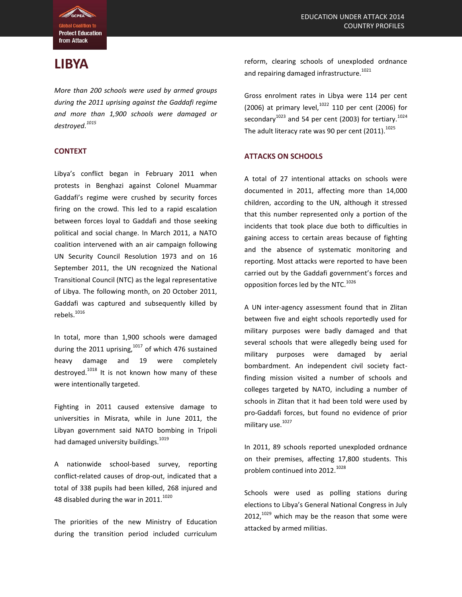

# **LIBYA**

*More than 200 schools were used by armed groups during the 2011 uprising against the Gaddafi regime and more than 1,900 schools were damaged or destroyed.<sup>1015</sup>*

## **CONTEXT**

Libya's conflict began in February 2011 when protests in Benghazi against Colonel Muammar Gaddafi's regime were crushed by security forces firing on the crowd. This led to a rapid escalation between forces loyal to Gaddafi and those seeking political and social change. In March 2011, a NATO coalition intervened with an air campaign following UN Security Council Resolution 1973 and on 16 September 2011, the UN recognized the National Transitional Council (NTC) as the legal representative of Libya. The following month, on 20 October 2011, Gaddafi was captured and subsequently killed by  $rebels.<sup>1016</sup>$ 

In total, more than 1,900 schools were damaged during the 2011 uprising, $1017$  of which 476 sustained heavy damage and 19 were completely destroyed.<sup>1018</sup> It is not known how many of these were intentionally targeted.

Fighting in 2011 caused extensive damage to universities in Misrata, while in June 2011, the Libyan government said NATO bombing in Tripoli had damaged university buildings.<sup>1019</sup>

A nationwide school-based survey, reporting conflict-related causes of drop-out, indicated that a total of 338 pupils had been killed, 268 injured and 48 disabled during the war in  $2011.<sup>1020</sup>$ 

The priorities of the new Ministry of Education during the transition period included curriculum reform, clearing schools of unexploded ordnance and repairing damaged infrastructure.<sup>1021</sup>

Gross enrolment rates in Libya were 114 per cent (2006) at primary level, $10^{22}$  110 per cent (2006) for secondary<sup>1023</sup> and 54 per cent (2003) for tertiary.<sup>1024</sup> The adult literacy rate was 90 per cent (2011). $1025$ 

## **ATTACKS ON SCHOOLS**

A total of 27 intentional attacks on schools were documented in 2011, affecting more than 14,000 children, according to the UN, although it stressed that this number represented only a portion of the incidents that took place due both to difficulties in gaining access to certain areas because of fighting and the absence of systematic monitoring and reporting. Most attacks were reported to have been carried out by the Gaddafi government's forces and opposition forces led by the NTC.<sup>1026</sup>

A UN inter-agency assessment found that in Zlitan between five and eight schools reportedly used for military purposes were badly damaged and that several schools that were allegedly being used for military purposes were damaged by aerial bombardment. An independent civil society factfinding mission visited a number of schools and colleges targeted by NATO, including a number of schools in Zlitan that it had been told were used by pro-Gaddafi forces, but found no evidence of prior military use.<sup>1027</sup>

In 2011, 89 schools reported unexploded ordnance on their premises, affecting 17,800 students. This problem continued into 2012.<sup>1028</sup>

Schools were used as polling stations during elections to Libya's General National Congress in July  $2012$ ,  $1029$  which may be the reason that some were attacked by armed militias.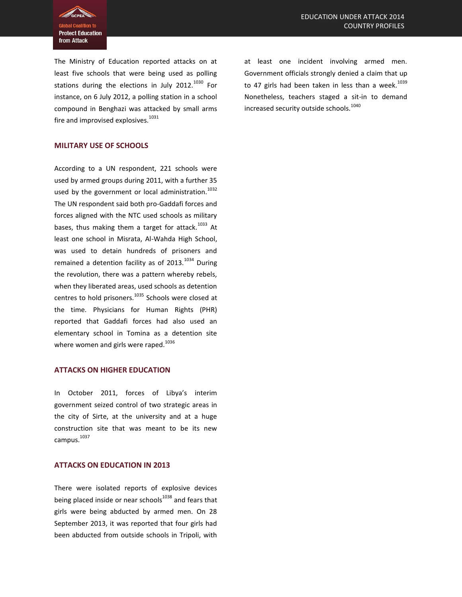**Protect Education** from Attack

The Ministry of Education reported attacks on at least five schools that were being used as polling stations during the elections in July 2012.<sup>1030</sup> For instance, on 6 July 2012, a polling station in a school compound in Benghazi was attacked by small arms fire and improvised explosives. $1031$ 

## **MILITARY USE OF SCHOOLS**

According to a UN respondent, 221 schools were used by armed groups during 2011, with a further 35 used by the government or local administration.<sup>1032</sup> The UN respondent said both pro-Gaddafi forces and forces aligned with the NTC used schools as military bases, thus making them a target for attack.<sup>1033</sup> At least one school in Misrata, Al-Wahda High School, was used to detain hundreds of prisoners and remained a detention facility as of  $2013$ .<sup>1034</sup> During the revolution, there was a pattern whereby rebels, when they liberated areas, used schools as detention centres to hold prisoners.<sup>1035</sup> Schools were closed at the time. Physicians for Human Rights (PHR) reported that Gaddafi forces had also used an elementary school in Tomina as a detention site where women and girls were raped.<sup>1036</sup>

#### **ATTACKS ON HIGHER EDUCATION**

In October 2011, forces of Libya's interim government seized control of two strategic areas in the city of Sirte, at the university and at a huge construction site that was meant to be its new campus. 1037

#### **ATTACKS ON EDUCATION IN 2013**

There were isolated reports of explosive devices being placed inside or near schools<sup>1038</sup> and fears that girls were being abducted by armed men. On 28 September 2013, it was reported that four girls had been abducted from outside schools in Tripoli, with at least one incident involving armed men. Government officials strongly denied a claim that up to 47 girls had been taken in less than a week.<sup>1039</sup> Nonetheless, teachers staged a sit-in to demand increased security outside schools.<sup>1040</sup>